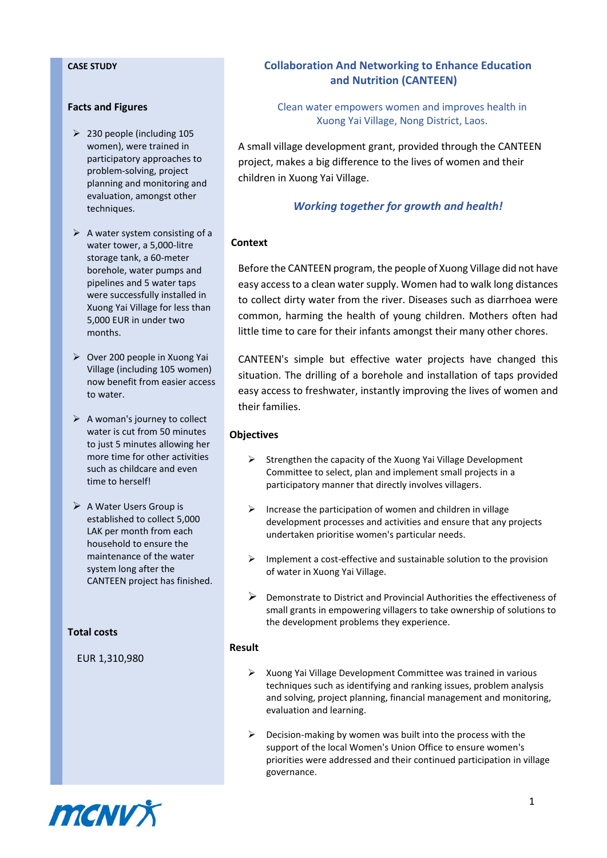#### **Facts and Figures**

- $\geq$  230 people (including 105 women), were trained in participatory approaches to problem-solving, project planning and monitoring and evaluation, amongst other techniques.
- $\triangleright$  A water system consisting of a water tower, a 5,000-litre storage tank, a 60-meter borehole, water pumps and pipelines and 5 water taps were successfully installed in Xuong Yai Village for less than 5,000 EUR in under two months.
- ➢ Over 200 people in Xuong Yai Village (including 105 women) now benefit from easier access to water.
- $\triangleright$  A woman's journey to collect water is cut from 50 minutes to just 5 minutes allowing her more time for other activities such as childcare and even time to herself!
- ➢ A Water Users Group is established to collect 5,000 LAK per month from each household to ensure the maintenance of the water system long after the CANTEEN project has finished.

**Total costs**

EUR 1,310,980

# **CASE STUDY Collaboration And Networking to Enhance Education and Nutrition (CANTEEN)**

Clean water empowers women and improves health in Xuong Yai Village, Nong District, Laos.

A small village development grant, provided through the CANTEEN project, makes a big difference to the lives of women and their children in Xuong Yai Village.

# *Working together for growth and health!*

# **Context**

Before the CANTEEN program, the people of Xuong Village did not have easy access to a clean water supply. Women had to walk long distances to collect dirty water from the river. Diseases such as diarrhoea were common, harming the health of young children. Mothers often had little time to care for their infants amongst their many other chores.

CANTEEN's simple but effective water projects have changed this situation. The drilling of a borehole and installation of taps provided easy access to freshwater, instantly improving the lives of women and their families.

#### **Objectives**

- $\triangleright$  Strengthen the capacity of the Xuong Yai Village Development Committee to select, plan and implement small projects in a participatory manner that directly involves villagers.
- $\triangleright$  Increase the participation of women and children in village development processes and activities and ensure that any projects undertaken prioritise women's particular needs.
- ➢ Implement a cost-effective and sustainable solution to the provision of water in Xuong Yai Village.
- ➢ Demonstrate to District and Provincial Authorities the effectiveness of small grants in empowering villagers to take ownership of solutions to the development problems they experience.

#### **Result**

- ➢ Xuong Yai Village Development Committee was trained in various techniques such as identifying and ranking issues, problem analysis and solving, project planning, financial management and monitoring, evaluation and learning.
- ➢ Decision-making by women was built into the process with the support of the local Women's Union Office to ensure women's priorities were addressed and their continued participation in village governance.

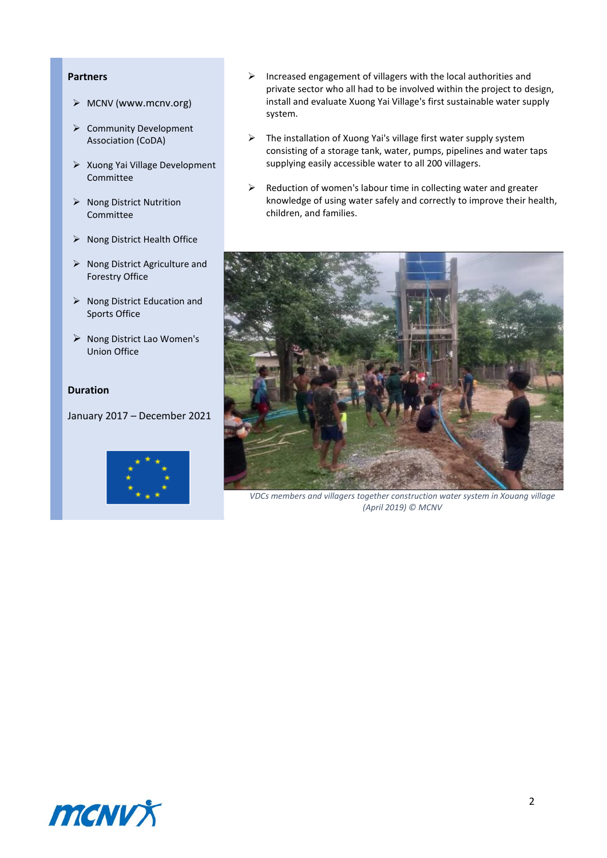## **Partners**

- ➢ MCNV ([www.mcnv.org](http://www.mcnv.org/))
- ➢ Community Development Association (CoDA)
- ➢ Xuong Yai Village Development Committee
- ➢ Nong District Nutrition Committee
- ➢ Nong District Health Office
- ➢ Nong District Agriculture and Forestry Office
- ➢ Nong District Education and Sports Office
- ➢ Nong District Lao Women's Union Office

### **Duration**

January 2017 – December 2021



- ➢ Increased engagement of villagers with the local authorities and private sector who all had to be involved within the project to design, install and evaluate Xuong Yai Village's first sustainable water supply system.
- ➢ The installation of Xuong Yai's village first water supply system consisting of a storage tank, water, pumps, pipelines and water taps supplying easily accessible water to all 200 villagers.
- $\triangleright$  Reduction of women's labour time in collecting water and greater knowledge of using water safely and correctly to improve their health, children, and families.



*VDCs members and villagers together construction water system in Xouang village (April 2019) © MCNV*